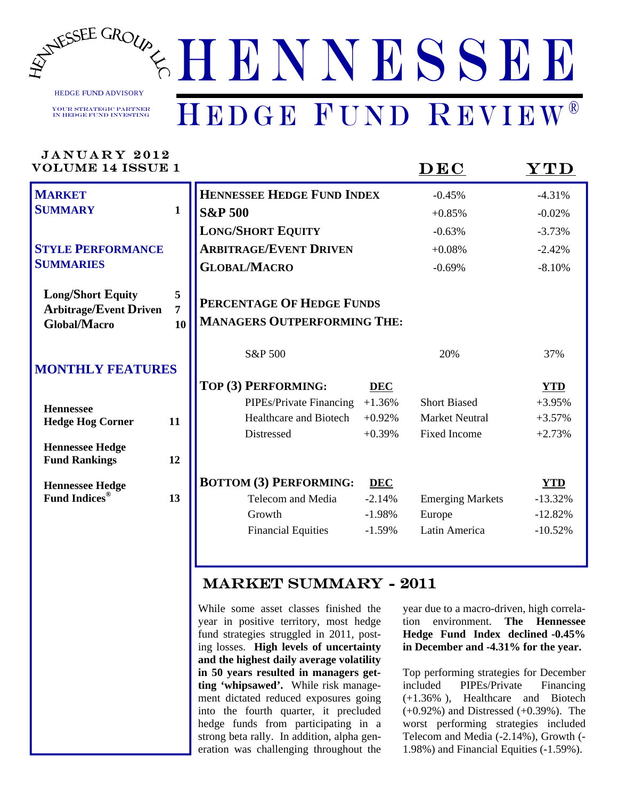

HEDGE FUND ADVISORY

Your Strategic Partner in Hedge Fund Investing

## HENNESSEE HEDGE FUND REVIEW®

| JANUARY 2012<br><b>VOLUME 14 ISSUE 1</b>                                         |                           |                                                                 |            | $\mathbf{D}\mathbf{E}\mathbf{C}$ | YTD        |
|----------------------------------------------------------------------------------|---------------------------|-----------------------------------------------------------------|------------|----------------------------------|------------|
| <b>MARKET</b>                                                                    |                           | HENNESSEE HEDGE FUND INDEX                                      |            | $-0.45%$                         | $-4.31%$   |
| <b>SUMMARY</b>                                                                   | $\mathbf{1}$              | <b>S&amp;P 500</b>                                              |            | $+0.85%$                         | $-0.02%$   |
|                                                                                  |                           | <b>LONG/SHORT EQUITY</b>                                        |            | $-0.63%$                         | $-3.73%$   |
| <b>STYLE PERFORMANCE</b>                                                         |                           | <b>ARBITRAGE/EVENT DRIVEN</b>                                   |            | $+0.08%$                         | $-2.42%$   |
| <b>SUMMARIES</b>                                                                 |                           | <b>GLOBAL/MACRO</b>                                             |            | $-0.69%$                         | $-8.10%$   |
| <b>Long/Short Equity</b><br><b>Arbitrage/Event Driven</b><br><b>Global/Macro</b> | 5<br>$\overline{7}$<br>10 | PERCENTAGE OF HEDGE FUNDS<br><b>MANAGERS OUTPERFORMING THE:</b> |            |                                  |            |
| <b>MONTHLY FEATURES</b>                                                          |                           | S&P 500                                                         |            | 20%                              | 37%        |
|                                                                                  |                           | TOP (3) PERFORMING:                                             | <b>DEC</b> |                                  | <b>YTD</b> |
| <b>Hennessee</b>                                                                 |                           | PIPEs/Private Financing                                         | $+1.36%$   | <b>Short Biased</b>              | $+3.95%$   |
| <b>Hedge Hog Corner</b>                                                          | 11                        | Healthcare and Biotech                                          | $+0.92%$   | <b>Market Neutral</b>            | $+3.57%$   |
|                                                                                  |                           | Distressed                                                      | $+0.39%$   | <b>Fixed Income</b>              | $+2.73%$   |
| <b>Hennessee Hedge</b><br><b>Fund Rankings</b>                                   | 12                        |                                                                 |            |                                  |            |
| <b>Hennessee Hedge</b>                                                           |                           | <b>BOTTOM (3) PERFORMING:</b>                                   | <b>DEC</b> |                                  | YTD        |
| <b>Fund Indices®</b>                                                             | 13                        | Telecom and Media                                               | $-2.14%$   | <b>Emerging Markets</b>          | $-13.32%$  |
|                                                                                  |                           | Growth                                                          | $-1.98%$   | Europe                           | $-12.82%$  |
|                                                                                  |                           | <b>Financial Equities</b>                                       | $-1.59%$   | Latin America                    | $-10.52%$  |
|                                                                                  |                           |                                                                 |            |                                  |            |

HENNESSEE STATE

*WWW.HENNESSEEGROUP.COM* 

### MARKET SUMMARY - 2011

While some asset classes finished the year in positive territory, most hedge fund strategies struggled in 2011, posting losses. **High levels of uncertainty and the highest daily average volatility in 50 years resulted in managers getting 'whipsawed'.** While risk management dictated reduced exposures going into the fourth quarter, it precluded hedge funds from participating in a strong beta rally. In addition, alpha generation was challenging throughout the year due to a macro-driven, high correlation environment. **The Hennessee Hedge Fund Index declined -0.45% in December and -4.31% for the year.** 

Top performing strategies for December included PIPEs/Private Financing (+1.36% ), Healthcare and Biotech (+0.92%) and Distressed (+0.39%). The worst performing strategies included Telecom and Media (-2.14%), Growth (- 1.98%) and Financial Equities (-1.59%).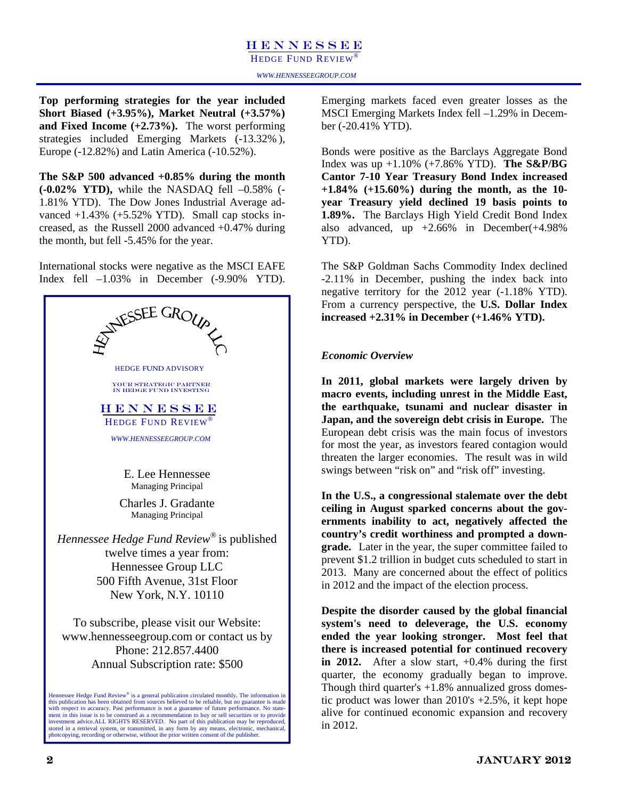HEDGE FUND REVIEW<sup>®</sup>

**Top performing strategies for the year included Short Biased (+3.95%), Market Neutral (+3.57%) and Fixed Income (+2.73%).** The worst performing strategies included Emerging Markets (-13.32% ), Europe (-12.82%) and Latin America (-10.52%).

**The S&P 500 advanced +0.85% during the month (-0.02% YTD),** while the NASDAQ fell –0.58% (- 1.81% YTD). The Dow Jones Industrial Average advanced  $+1.43\%$  ( $+5.52\%$  YTD). Small cap stocks increased, as the Russell 2000 advanced +0.47% during the month, but fell -5.45% for the year.

International stocks were negative as the MSCI EAFE Index fell –1.03% in December (-9.90% YTD).



Emerging markets faced even greater losses as the MSCI Emerging Markets Index fell –1.29% in December (-20.41% YTD).

Bonds were positive as the Barclays Aggregate Bond Index was up +1.10% (+7.86% YTD). **The S&P/BG Cantor 7-10 Year Treasury Bond Index increased +1.84% (+15.60%) during the month, as the 10 year Treasury yield declined 19 basis points to 1.89%.** The Barclays High Yield Credit Bond Index also advanced, up  $+2.66\%$  in December( $+4.98\%$ ) YTD).

The S&P Goldman Sachs Commodity Index declined -2.11% in December, pushing the index back into negative territory for the 2012 year (-1.18% YTD). From a currency perspective, the **U.S. Dollar Index increased +2.31% in December (+1.46% YTD).** 

### *Economic Overview*

**In 2011, global markets were largely driven by macro events, including unrest in the Middle East, the earthquake, tsunami and nuclear disaster in Japan, and the sovereign debt crisis in Europe.** The European debt crisis was the main focus of investors for most the year, as investors feared contagion would threaten the larger economies. The result was in wild swings between "risk on" and "risk off" investing.

**In the U.S., a congressional stalemate over the debt ceiling in August sparked concerns about the governments inability to act, negatively affected the country's credit worthiness and prompted a downgrade.** Later in the year, the super committee failed to prevent \$1.2 trillion in budget cuts scheduled to start in 2013. Many are concerned about the effect of politics in 2012 and the impact of the election process.

**Despite the disorder caused by the global financial system's need to deleverage, the U.S. economy ended the year looking stronger. Most feel that there is increased potential for continued recovery in 2012.** After a slow start, +0.4% during the first quarter, the economy gradually began to improve. Though third quarter's  $+1.8\%$  annualized gross domestic product was lower than 2010's +2.5%, it kept hope alive for continued economic expansion and recovery in 2012.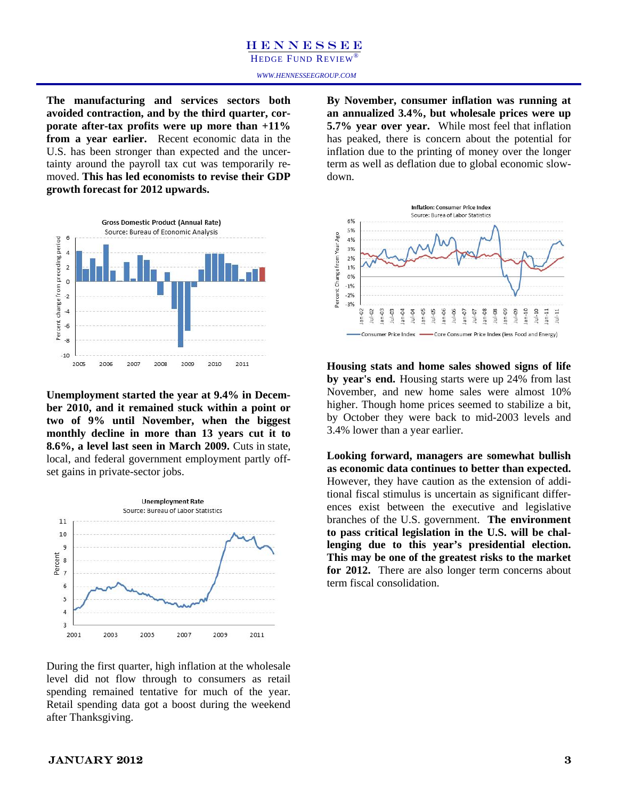HEDGE FUND REVIEW

**The manufacturing and services sectors both avoided contraction, and by the third quarter, corporate after-tax profits were up more than +11% from a year earlier.** Recent economic data in the U.S. has been stronger than expected and the uncertainty around the payroll tax cut was temporarily removed. **This has led economists to revise their GDP growth forecast for 2012 upwards.**



**Unemployment started the year at 9.4% in December 2010, and it remained stuck within a point or two of 9% until November, when the biggest monthly decline in more than 13 years cut it to 8.6%, a level last seen in March 2009.** Cuts in state, local, and federal government employment partly offset gains in private-sector jobs.



During the first quarter, high inflation at the wholesale level did not flow through to consumers as retail spending remained tentative for much of the year. Retail spending data got a boost during the weekend after Thanksgiving.

**By November, consumer inflation was running at an annualized 3.4%, but wholesale prices were up 5.7% year over year.** While most feel that inflation has peaked, there is concern about the potential for inflation due to the printing of money over the longer term as well as deflation due to global economic slowdown.



**Housing stats and home sales showed signs of life by year's end.** Housing starts were up 24% from last November, and new home sales were almost 10% higher. Though home prices seemed to stabilize a bit, by October they were back to mid-2003 levels and 3.4% lower than a year earlier.

**Looking forward, managers are somewhat bullish as economic data continues to better than expected.**  However, they have caution as the extension of additional fiscal stimulus is uncertain as significant differences exist between the executive and legislative branches of the U.S. government. **The environment to pass critical legislation in the U.S. will be challenging due to this year's presidential election. This may be one of the greatest risks to the market for 2012.** There are also longer term concerns about term fiscal consolidation.

### $JANUARY 2012$  3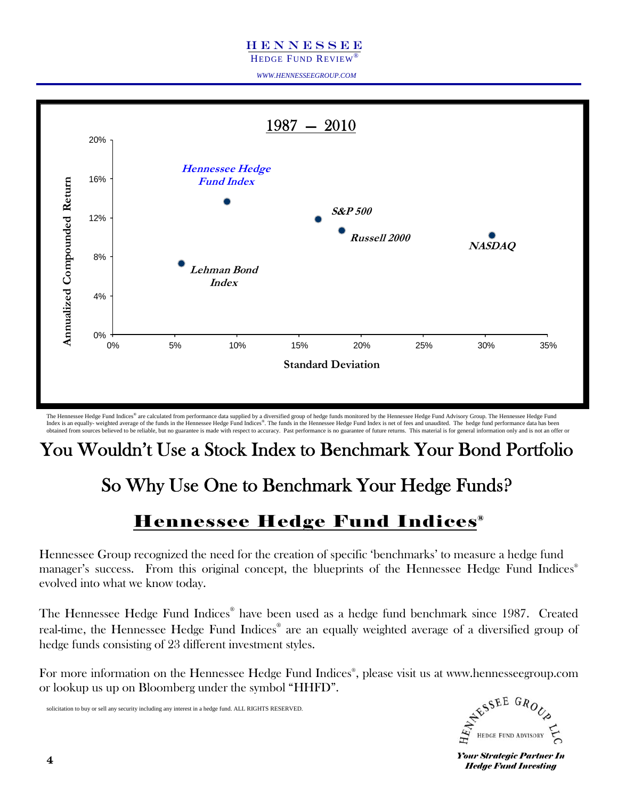HEDGE FUND REVIEW®

*WWW.HENNESSEEGROUP.COM* 



The Hennessee Hedge Fund Indices® are calculated from performance data supplied by a diversified group of hedge funds monitored by the Hennessee Hedge Fund Advisory Group. The Hennessee Hedge Fund Index is an equally- weighted average of the funds in the Hennessee Hedge Fund Indices®. The funds in the Hennessee Hedge Fund Index is net of fees and unaudited. The hedge fund performance data has been obtained from sources believed to be reliable, but no guarantee is made with respect to accuracy. Past performance is no guarantee of future returns. This material is for general information only and is not an offer or

### You Wouldn't Use a Stock Index to Benchmark Your Bond Portfolio

### So Why Use One to Benchmark Your Hedge Funds?

### Hennessee Hedge Fund Indices®

Hennessee Group recognized the need for the creation of specific 'benchmarks' to measure a hedge fund manager's success. From this original concept, the blueprints of the Hennessee Hedge Fund Indices<sup>®</sup> evolved into what we know today.

The Hennessee Hedge Fund Indices® have been used as a hedge fund benchmark since 1987. Created real-time, the Hennessee Hedge Fund Indices® are an equally weighted average of a diversified group of hedge funds consisting of 23 different investment styles.

For more information on the Hennessee Hedge Fund Indices® , please visit us at www.hennesseegroup.com or lookup us up on Bloomberg under the symbol "HHFD".

solicitation to buy or sell any security including any interest in a hedge fund. ALL RIGHTS RESERVED.



**Your Strategic Partner In** *Hedge Fund Investing*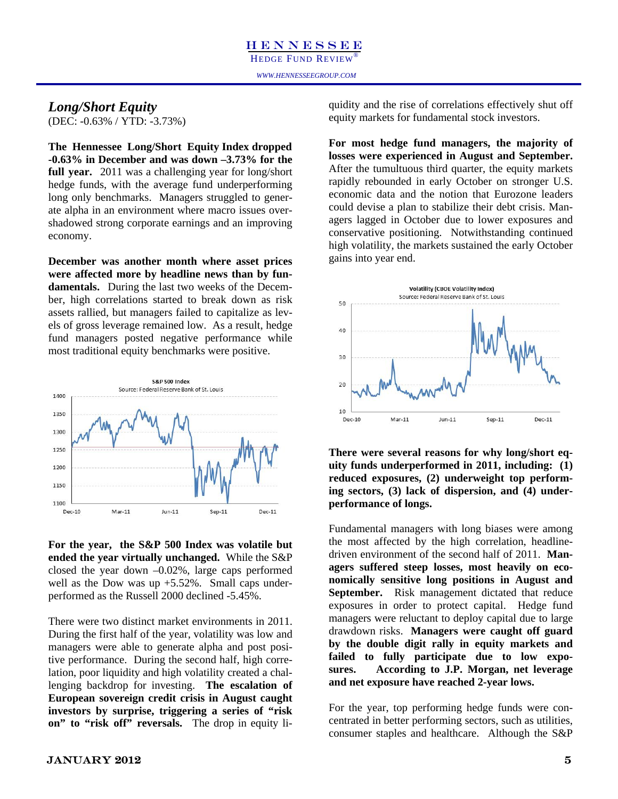### *Long/Short Equity*

(DEC: -0.63% / YTD: -3.73%)

**The Hennessee Long/Short Equity Index dropped -0.63% in December and was down –3.73% for the full year.** 2011 was a challenging year for long/short hedge funds, with the average fund underperforming long only benchmarks. Managers struggled to generate alpha in an environment where macro issues overshadowed strong corporate earnings and an improving economy.

**December was another month where asset prices were affected more by headline news than by fundamentals.** During the last two weeks of the December, high correlations started to break down as risk assets rallied, but managers failed to capitalize as levels of gross leverage remained low. As a result, hedge fund managers posted negative performance while most traditional equity benchmarks were positive.



**For the year, the S&P 500 Index was volatile but ended the year virtually unchanged.** While the S&P closed the year down –0.02%, large caps performed well as the Dow was up  $+5.52\%$ . Small caps underperformed as the Russell 2000 declined -5.45%.

There were two distinct market environments in 2011. During the first half of the year, volatility was low and managers were able to generate alpha and post positive performance. During the second half, high correlation, poor liquidity and high volatility created a challenging backdrop for investing. **The escalation of European sovereign credit crisis in August caught investors by surprise, triggering a series of "risk on" to "risk off" reversals.** The drop in equity li-

**For most hedge fund managers, the majority of losses were experienced in August and September.**  After the tumultuous third quarter, the equity markets rapidly rebounded in early October on stronger U.S. economic data and the notion that Eurozone leaders could devise a plan to stabilize their debt crisis. Managers lagged in October due to lower exposures and conservative positioning. Notwithstanding continued high volatility, the markets sustained the early October gains into year end.



**There were several reasons for why long/short equity funds underperformed in 2011, including: (1) reduced exposures, (2) underweight top performing sectors, (3) lack of dispersion, and (4) underperformance of longs.** 

Fundamental managers with long biases were among the most affected by the high correlation, headlinedriven environment of the second half of 2011. **Managers suffered steep losses, most heavily on economically sensitive long positions in August and September.** Risk management dictated that reduce exposures in order to protect capital. Hedge fund managers were reluctant to deploy capital due to large drawdown risks. **Managers were caught off guard by the double digit rally in equity markets and failed to fully participate due to low exposures. According to J.P. Morgan, net leverage and net exposure have reached 2-year lows.** 

For the year, top performing hedge funds were concentrated in better performing sectors, such as utilities, consumer staples and healthcare. Although the S&P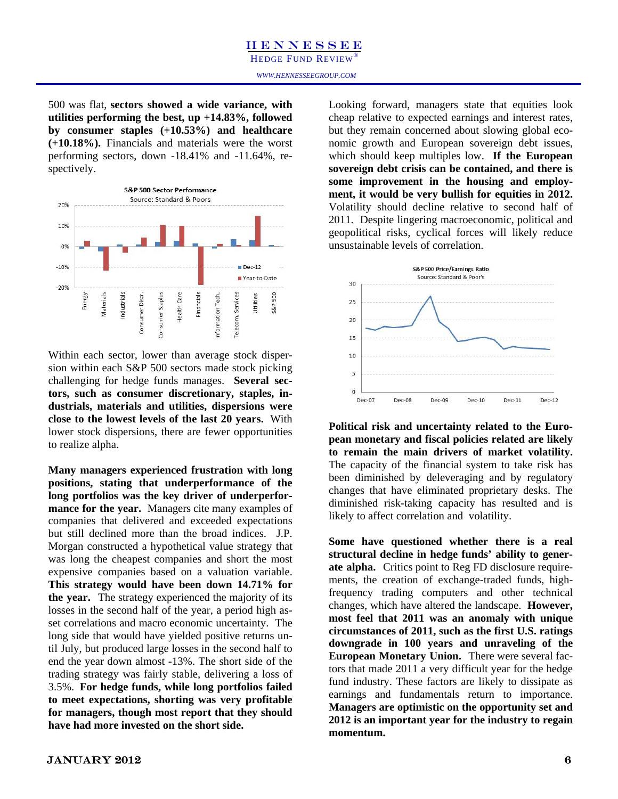HEDGE FUND REVIEW®

500 was flat, **sectors showed a wide variance, with utilities performing the best, up +14.83%, followed by consumer staples (+10.53%) and healthcare (+10.18%).** Financials and materials were the worst performing sectors, down -18.41% and -11.64%, respectively.



Within each sector, lower than average stock dispersion within each S&P 500 sectors made stock picking challenging for hedge funds manages. **Several sectors, such as consumer discretionary, staples, industrials, materials and utilities, dispersions were close to the lowest levels of the last 20 years.** With lower stock dispersions, there are fewer opportunities to realize alpha.

**Many managers experienced frustration with long positions, stating that underperformance of the long portfolios was the key driver of underperformance for the year.** Managers cite many examples of companies that delivered and exceeded expectations but still declined more than the broad indices. J.P. Morgan constructed a hypothetical value strategy that was long the cheapest companies and short the most expensive companies based on a valuation variable. **This strategy would have been down 14.71% for the year.** The strategy experienced the majority of its losses in the second half of the year, a period high asset correlations and macro economic uncertainty. The long side that would have yielded positive returns until July, but produced large losses in the second half to end the year down almost -13%. The short side of the trading strategy was fairly stable, delivering a loss of 3.5%. **For hedge funds, while long portfolios failed to meet expectations, shorting was very profitable for managers, though most report that they should have had more invested on the short side.** 

Looking forward, managers state that equities look cheap relative to expected earnings and interest rates, but they remain concerned about slowing global economic growth and European sovereign debt issues, which should keep multiples low. **If the European sovereign debt crisis can be contained, and there is some improvement in the housing and employment, it would be very bullish for equities in 2012.**  Volatility should decline relative to second half of 2011. Despite lingering macroeconomic, political and geopolitical risks, cyclical forces will likely reduce unsustainable levels of correlation.



**Political risk and uncertainty related to the European monetary and fiscal policies related are likely to remain the main drivers of market volatility.**  The capacity of the financial system to take risk has been diminished by deleveraging and by regulatory changes that have eliminated proprietary desks. The diminished risk-taking capacity has resulted and is likely to affect correlation and volatility.

**Some have questioned whether there is a real structural decline in hedge funds' ability to generate alpha.** Critics point to Reg FD disclosure requirements, the creation of exchange-traded funds, highfrequency trading computers and other technical changes, which have altered the landscape. **However, most feel that 2011 was an anomaly with unique circumstances of 2011, such as the first U.S. ratings downgrade in 100 years and unraveling of the European Monetary Union.** There were several factors that made 2011 a very difficult year for the hedge fund industry. These factors are likely to dissipate as earnings and fundamentals return to importance. **Managers are optimistic on the opportunity set and 2012 is an important year for the industry to regain momentum.**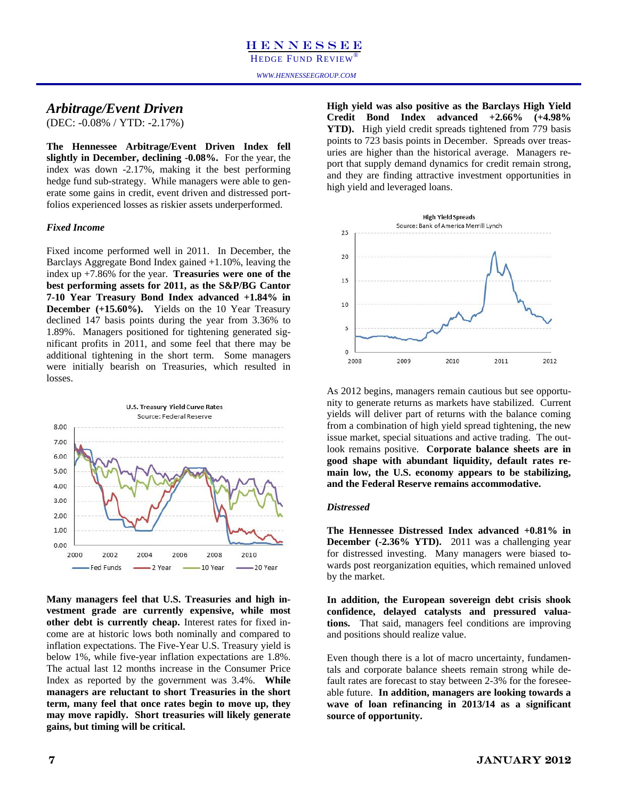HEDGE FUND REVIEW® HEDGE FUND REVIEW®

### *Arbitrage/Event Driven*

(DEC: -0.08% / YTD: -2.17%)

**The Hennessee Arbitrage/Event Driven Index fell slightly in December, declining -0.08%.** For the year, the index was down -2.17%, making it the best performing hedge fund sub-strategy. While managers were able to generate some gains in credit, event driven and distressed portfolios experienced losses as riskier assets underperformed.

### *Fixed Income*

Fixed income performed well in 2011. In December, the Barclays Aggregate Bond Index gained +1.10%, leaving the index up +7.86% for the year. **Treasuries were one of the best performing assets for 2011, as the S&P/BG Cantor 7-10 Year Treasury Bond Index advanced +1.84% in December (+15.60%).** Yields on the 10 Year Treasury declined 147 basis points during the year from 3.36% to 1.89%. Managers positioned for tightening generated significant profits in 2011, and some feel that there may be additional tightening in the short term. Some managers were initially bearish on Treasuries, which resulted in losses.



**Many managers feel that U.S. Treasuries and high investment grade are currently expensive, while most other debt is currently cheap.** Interest rates for fixed income are at historic lows both nominally and compared to inflation expectations. The Five-Year U.S. Treasury yield is below 1%, while five-year inflation expectations are 1.8%. The actual last 12 months increase in the Consumer Price Index as reported by the government was 3.4%. **While managers are reluctant to short Treasuries in the short term, many feel that once rates begin to move up, they may move rapidly. Short treasuries will likely generate gains, but timing will be critical.**

**High yield was also positive as the Barclays High Yield Credit Bond Index advanced +2.66% (+4.98% YTD).** High yield credit spreads tightened from 779 basis points to 723 basis points in December. Spreads over treasuries are higher than the historical average. Managers report that supply demand dynamics for credit remain strong, and they are finding attractive investment opportunities in high yield and leveraged loans.



As 2012 begins, managers remain cautious but see opportunity to generate returns as markets have stabilized. Current yields will deliver part of returns with the balance coming from a combination of high yield spread tightening, the new issue market, special situations and active trading. The outlook remains positive. **Corporate balance sheets are in good shape with abundant liquidity, default rates remain low, the U.S. economy appears to be stabilizing, and the Federal Reserve remains accommodative.** 

### *Distressed*

**The Hennessee Distressed Index advanced +0.81% in December (-2.36% YTD).** 2011 was a challenging year for distressed investing. Many managers were biased towards post reorganization equities, which remained unloved by the market.

**In addition, the European sovereign debt crisis shook confidence, delayed catalysts and pressured valuations.** That said, managers feel conditions are improving and positions should realize value.

Even though there is a lot of macro uncertainty, fundamentals and corporate balance sheets remain strong while default rates are forecast to stay between 2-3% for the foreseeable future. **In addition, managers are looking towards a wave of loan refinancing in 2013/14 as a significant source of opportunity.**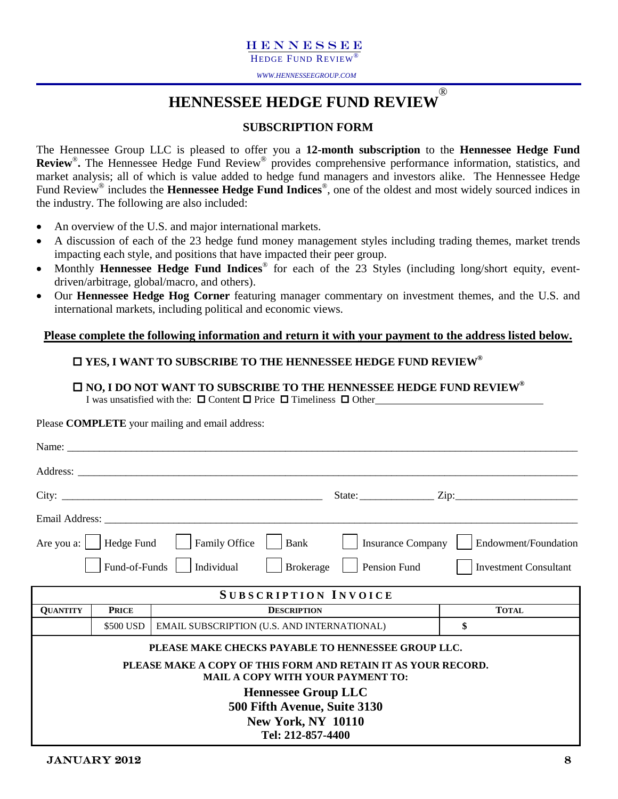HEDGE FUND REVIEW

*WWW.HENNESSEEGROUP.COM* 

### **HENNESSEE HEDGE FUND REVIEW** ®

### **SUBSCRIPTION FORM**

The Hennessee Group LLC is pleased to offer you a **12-month subscription** to the **Hennessee Hedge Fund Review**®**.** The Hennessee Hedge Fund Review® provides comprehensive performance information, statistics, and market analysis; all of which is value added to hedge fund managers and investors alike. The Hennessee Hedge Fund Review® includes the **Hennessee Hedge Fund Indices**®, one of the oldest and most widely sourced indices in the industry. The following are also included:

- An overview of the U.S. and major international markets.
- A discussion of each of the 23 hedge fund money management styles including trading themes, market trends impacting each style, and positions that have impacted their peer group.
- Monthly **Hennessee Hedge Fund Indices**® for each of the 23 Styles (including long/short equity, eventdriven/arbitrage, global/macro, and others).
- Our **Hennessee Hedge Hog Corner** featuring manager commentary on investment themes, and the U.S. and international markets, including political and economic views.

### **Please complete the following information and return it with your payment to the address listed below.**

### **YES, I WANT TO SUBSCRIBE TO THE HENNESSEE HEDGE FUND REVIEW®**

### **NO, I DO NOT WANT TO SUBSCRIBE TO THE HENNESSEE HEDGE FUND REVIEW® I** was unsatisfied with the:  $\Box$  Content  $\Box$  Price  $\Box$  Timeliness  $\Box$  Other

Please **COMPLETE** your mailing and email address:

|                 |               | Name:                                                                                                     |                                              |
|-----------------|---------------|-----------------------------------------------------------------------------------------------------------|----------------------------------------------|
|                 |               |                                                                                                           |                                              |
|                 |               |                                                                                                           | State: <u>Zip:</u> Zip:                      |
|                 |               |                                                                                                           |                                              |
|                 |               | Are you a:     Hedge Fund       Family Office<br>Bank                                                     | Insurance Company<br>Endowment/Foundation    |
|                 | Fund-of-Funds | Individual<br><b>Brokerage</b>                                                                            | Pension Fund<br><b>Investment Consultant</b> |
|                 |               | <b>SUBSCRIPTION INVOICE</b>                                                                               |                                              |
| <b>QUANTITY</b> | <b>PRICE</b>  | <b>DESCRIPTION</b>                                                                                        | <b>TOTAL</b>                                 |
|                 | \$500 USD     | EMAIL SUBSCRIPTION (U.S. AND INTERNATIONAL)                                                               | \$                                           |
|                 |               | PLEASE MAKE CHECKS PAYABLE TO HENNESSEE GROUP LLC.                                                        |                                              |
|                 |               | PLEASE MAKE A COPY OF THIS FORM AND RETAIN IT AS YOUR RECORD.<br><b>MAIL A COPY WITH YOUR PAYMENT TO:</b> |                                              |
|                 |               | <b>Hennessee Group LLC</b>                                                                                |                                              |
|                 |               | 500 Fifth Avenue, Suite 3130                                                                              |                                              |
|                 |               | <b>New York, NY 10110</b><br>Tel: 212-857-4400                                                            |                                              |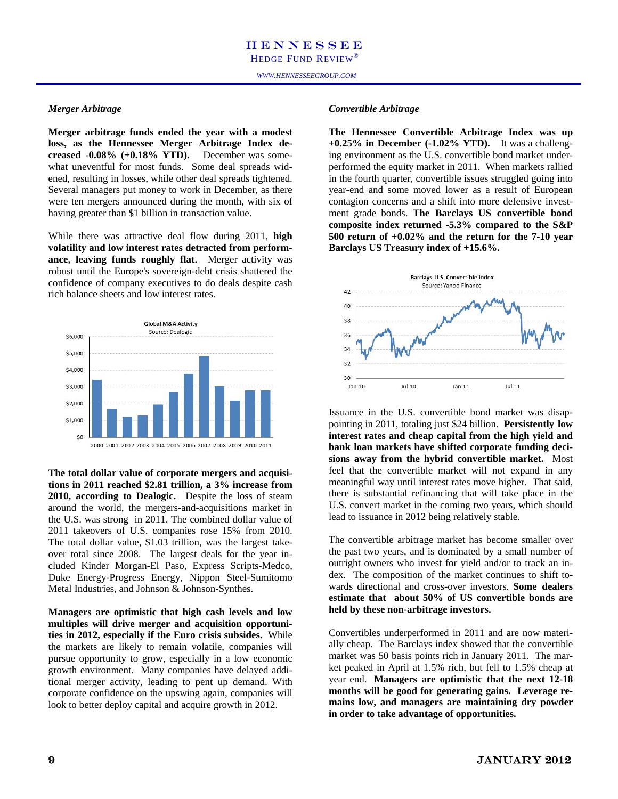### *Merger Arbitrage*

**Merger arbitrage funds ended the year with a modest loss, as the Hennessee Merger Arbitrage Index decreased -0.08% (+0.18% YTD).** December was somewhat uneventful for most funds. Some deal spreads widened, resulting in losses, while other deal spreads tightened. Several managers put money to work in December, as there were ten mergers announced during the month, with six of having greater than \$1 billion in transaction value.

While there was attractive deal flow during 2011, **high volatility and low interest rates detracted from performance, leaving funds roughly flat.** Merger activity was robust until the Europe's sovereign-debt crisis shattered the confidence of company executives to do deals despite cash rich balance sheets and low interest rates.



**The total dollar value of corporate mergers and acquisitions in 2011 reached \$2.81 trillion, a 3% increase from 2010, according to Dealogic.** Despite the loss of steam around the world, the mergers-and-acquisitions market in the U.S. was strong in 2011. The combined dollar value of 2011 takeovers of U.S. companies rose 15% from 2010. The total dollar value, \$1.03 trillion, was the largest takeover total since 2008. The largest deals for the year included Kinder Morgan-El Paso, Express Scripts-Medco, Duke Energy-Progress Energy, Nippon Steel-Sumitomo Metal Industries, and Johnson & Johnson-Synthes.

**Managers are optimistic that high cash levels and low multiples will drive merger and acquisition opportunities in 2012, especially if the Euro crisis subsides.** While the markets are likely to remain volatile, companies will pursue opportunity to grow, especially in a low economic growth environment. Many companies have delayed additional merger activity, leading to pent up demand. With corporate confidence on the upswing again, companies will look to better deploy capital and acquire growth in 2012.

### *Convertible Arbitrage*

**The Hennessee Convertible Arbitrage Index was up +0.25% in December (-1.02% YTD).** It was a challenging environment as the U.S. convertible bond market underperformed the equity market in 2011. When markets rallied in the fourth quarter, convertible issues struggled going into year-end and some moved lower as a result of European contagion concerns and a shift into more defensive investment grade bonds. **The Barclays US convertible bond composite index returned -5.3% compared to the S&P 500 return of +0.02% and the return for the 7-10 year Barclays US Treasury index of +15.6%.** 



Issuance in the U.S. convertible bond market was disappointing in 2011, totaling just \$24 billion. **Persistently low interest rates and cheap capital from the high yield and bank loan markets have shifted corporate funding decisions away from the hybrid convertible market.** Most feel that the convertible market will not expand in any meaningful way until interest rates move higher. That said, there is substantial refinancing that will take place in the U.S. convert market in the coming two years, which should lead to issuance in 2012 being relatively stable.

The convertible arbitrage market has become smaller over the past two years, and is dominated by a small number of outright owners who invest for yield and/or to track an index. The composition of the market continues to shift towards directional and cross-over investors. **Some dealers estimate that about 50% of US convertible bonds are held by these non-arbitrage investors.** 

Convertibles underperformed in 2011 and are now materially cheap. The Barclays index showed that the convertible market was 50 basis points rich in January 2011. The market peaked in April at 1.5% rich, but fell to 1.5% cheap at year end. **Managers are optimistic that the next 12-18 months will be good for generating gains. Leverage remains low, and managers are maintaining dry powder in order to take advantage of opportunities.**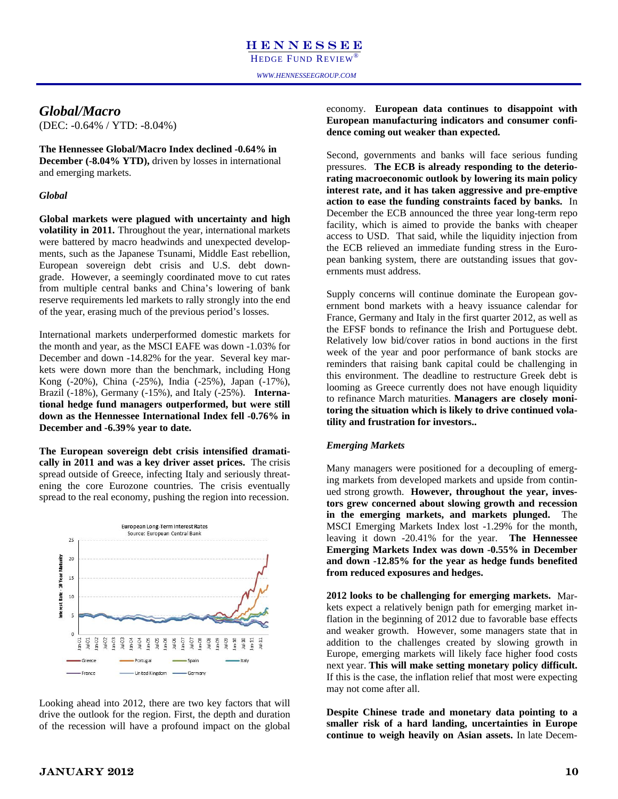### *Global/Macro*

(DEC: -0.64% / YTD: -8.04%)

**The Hennessee Global/Macro Index declined -0.64% in December (-8.04% YTD),** driven by losses in international and emerging markets.

### *Global*

**Global markets were plagued with uncertainty and high volatility in 2011.** Throughout the year, international markets were battered by macro headwinds and unexpected developments, such as the Japanese Tsunami, Middle East rebellion, European sovereign debt crisis and U.S. debt downgrade. However, a seemingly coordinated move to cut rates from multiple central banks and China's lowering of bank reserve requirements led markets to rally strongly into the end of the year, erasing much of the previous period's losses.

International markets underperformed domestic markets for the month and year, as the MSCI EAFE was down -1.03% for December and down -14.82% for the year. Several key markets were down more than the benchmark, including Hong Kong (-20%), China (-25%), India (-25%), Japan (-17%), Brazil (-18%), Germany (-15%), and Italy (-25%). **International hedge fund managers outperformed, but were still down as the Hennessee International Index fell -0.76% in December and -6.39% year to date.** 

**The European sovereign debt crisis intensified dramatically in 2011 and was a key driver asset prices.** The crisis spread outside of Greece, infecting Italy and seriously threatening the core Eurozone countries. The crisis eventually spread to the real economy, pushing the region into recession.



Looking ahead into 2012, there are two key factors that will drive the outlook for the region. First, the depth and duration of the recession will have a profound impact on the global economy. **European data continues to disappoint with European manufacturing indicators and consumer confidence coming out weaker than expected.** 

Second, governments and banks will face serious funding pressures. **The ECB is already responding to the deteriorating macroeconomic outlook by lowering its main policy interest rate, and it has taken aggressive and pre-emptive action to ease the funding constraints faced by banks.** In December the ECB announced the three year long-term repo facility, which is aimed to provide the banks with cheaper access to USD. That said, while the liquidity injection from the ECB relieved an immediate funding stress in the European banking system, there are outstanding issues that governments must address.

Supply concerns will continue dominate the European government bond markets with a heavy issuance calendar for France, Germany and Italy in the first quarter 2012, as well as the EFSF bonds to refinance the Irish and Portuguese debt. Relatively low bid/cover ratios in bond auctions in the first week of the year and poor performance of bank stocks are reminders that raising bank capital could be challenging in this environment. The deadline to restructure Greek debt is looming as Greece currently does not have enough liquidity to refinance March maturities. **Managers are closely monitoring the situation which is likely to drive continued volatility and frustration for investors..**

### *Emerging Markets*

Many managers were positioned for a decoupling of emerging markets from developed markets and upside from continued strong growth. **However, throughout the year, investors grew concerned about slowing growth and recession in the emerging markets, and markets plunged.** The MSCI Emerging Markets Index lost -1.29% for the month, leaving it down -20.41% for the year. **The Hennessee Emerging Markets Index was down -0.55% in December and down -12.85% for the year as hedge funds benefited from reduced exposures and hedges.** 

**2012 looks to be challenging for emerging markets.** Markets expect a relatively benign path for emerging market inflation in the beginning of 2012 due to favorable base effects and weaker growth. However, some managers state that in addition to the challenges created by slowing growth in Europe, emerging markets will likely face higher food costs next year. **This will make setting monetary policy difficult.**  If this is the case, the inflation relief that most were expecting may not come after all.

**Despite Chinese trade and monetary data pointing to a smaller risk of a hard landing, uncertainties in Europe continue to weigh heavily on Asian assets.** In late Decem-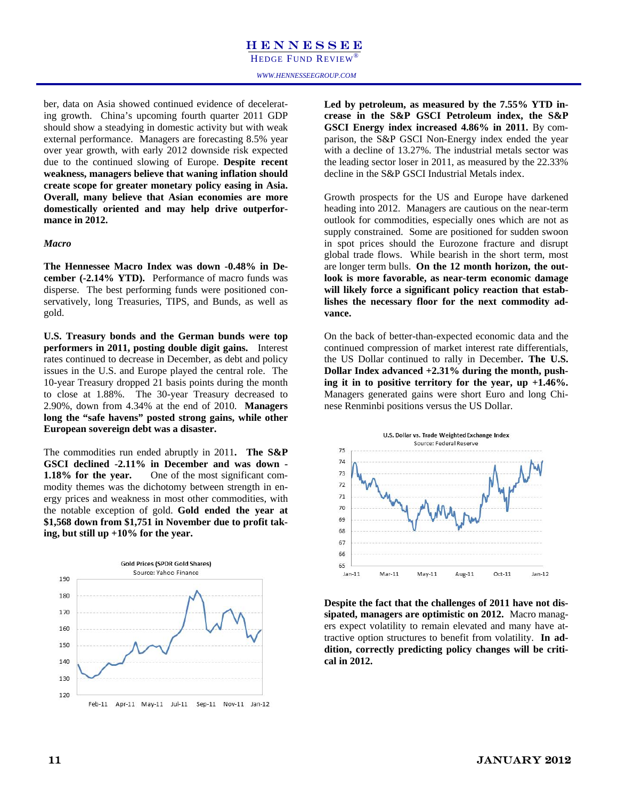HEDGE FUND REVIEW

*WWW.HENNESSEEGROUP.COM* 

ber, data on Asia showed continued evidence of decelerating growth. China's upcoming fourth quarter 2011 GDP should show a steadying in domestic activity but with weak external performance. Managers are forecasting 8.5% year over year growth, with early 2012 downside risk expected due to the continued slowing of Europe. **Despite recent weakness, managers believe that waning inflation should create scope for greater monetary policy easing in Asia. Overall, many believe that Asian economies are more domestically oriented and may help drive outperformance in 2012.** 

### *Macro*

**The Hennessee Macro Index was down -0.48% in December (-2.14% YTD).** Performance of macro funds was disperse. The best performing funds were positioned conservatively, long Treasuries, TIPS, and Bunds, as well as gold.

**U.S. Treasury bonds and the German bunds were top performers in 2011, posting double digit gains.** Interest rates continued to decrease in December, as debt and policy issues in the U.S. and Europe played the central role. The 10-year Treasury dropped 21 basis points during the month to close at 1.88%. The 30-year Treasury decreased to 2.90%, down from 4.34% at the end of 2010. **Managers long the "safe havens" posted strong gains, while other European sovereign debt was a disaster.** 

The commodities run ended abruptly in 2011**. The S&P GSCI declined -2.11% in December and was down - 1.18% for the year.** One of the most significant commodity themes was the dichotomy between strength in energy prices and weakness in most other commodities, with the notable exception of gold. **Gold ended the year at \$1,568 down from \$1,751 in November due to profit taking, but still up +10% for the year.** 



**Led by petroleum, as measured by the 7.55% YTD increase in the S&P GSCI Petroleum index, the S&P GSCI Energy index increased 4.86% in 2011.** By comparison, the S&P GSCI Non-Energy index ended the year with a decline of 13.27%. The industrial metals sector was the leading sector loser in 2011, as measured by the 22.33% decline in the S&P GSCI Industrial Metals index.

Growth prospects for the US and Europe have darkened heading into 2012. Managers are cautious on the near-term outlook for commodities, especially ones which are not as supply constrained. Some are positioned for sudden swoon in spot prices should the Eurozone fracture and disrupt global trade flows. While bearish in the short term, most are longer term bulls. **On the 12 month horizon, the outlook is more favorable, as near-term economic damage will likely force a significant policy reaction that establishes the necessary floor for the next commodity advance.** 

On the back of better-than-expected economic data and the continued compression of market interest rate differentials, the US Dollar continued to rally in December**. The U.S. Dollar Index advanced +2.31% during the month, pushing it in to positive territory for the year, up +1.46%.**  Managers generated gains were short Euro and long Chinese Renminbi positions versus the US Dollar.



**Despite the fact that the challenges of 2011 have not dissipated, managers are optimistic on 2012.** Macro managers expect volatility to remain elevated and many have attractive option structures to benefit from volatility. **In addition, correctly predicting policy changes will be critical in 2012.**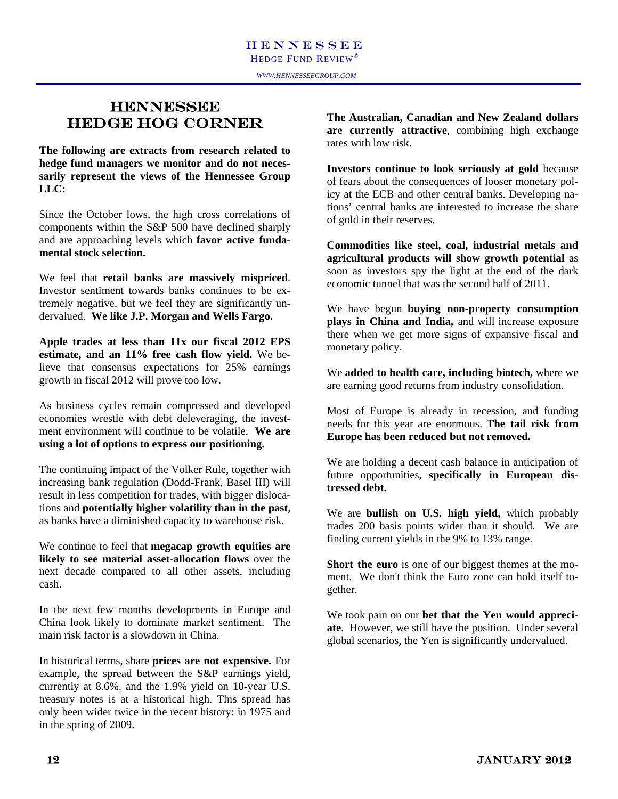### **HENNESSEE** HEDGE HOG CORNER

**The following are extracts from research related to hedge fund managers we monitor and do not necessarily represent the views of the Hennessee Group LLC:** 

Since the October lows, the high cross correlations of components within the S&P 500 have declined sharply and are approaching levels which **favor active fundamental stock selection.** 

We feel that **retail banks are massively mispriced**. Investor sentiment towards banks continues to be extremely negative, but we feel they are significantly undervalued. **We like J.P. Morgan and Wells Fargo.** 

**Apple trades at less than 11x our fiscal 2012 EPS estimate, and an 11% free cash flow yield.** We believe that consensus expectations for 25% earnings growth in fiscal 2012 will prove too low.

As business cycles remain compressed and developed economies wrestle with debt deleveraging, the investment environment will continue to be volatile. **We are using a lot of options to express our positioning.**

The continuing impact of the Volker Rule, together with increasing bank regulation (Dodd-Frank, Basel III) will result in less competition for trades, with bigger dislocations and **potentially higher volatility than in the past**, as banks have a diminished capacity to warehouse risk.

We continue to feel that **megacap growth equities are likely to see material asset-allocation flows** over the next decade compared to all other assets, including cash.

In the next few months developments in Europe and China look likely to dominate market sentiment. The main risk factor is a slowdown in China.

In historical terms, share **prices are not expensive.** For example, the spread between the S&P earnings yield, currently at 8.6%, and the 1.9% yield on 10-year U.S. treasury notes is at a historical high. This spread has only been wider twice in the recent history: in 1975 and in the spring of 2009.

**The Australian, Canadian and New Zealand dollars are currently attractive**, combining high exchange rates with low risk.

**Investors continue to look seriously at gold** because of fears about the consequences of looser monetary policy at the ECB and other central banks. Developing nations' central banks are interested to increase the share of gold in their reserves.

**Commodities like steel, coal, industrial metals and agricultural products will show growth potential** as soon as investors spy the light at the end of the dark economic tunnel that was the second half of 2011.

We have begun **buying non-property consumption plays in China and India,** and will increase exposure there when we get more signs of expansive fiscal and monetary policy.

We **added to health care, including biotech,** where we are earning good returns from industry consolidation.

Most of Europe is already in recession, and funding needs for this year are enormous. **The tail risk from Europe has been reduced but not removed.** 

We are holding a decent cash balance in anticipation of future opportunities, **specifically in European distressed debt.**

We are **bullish on U.S. high yield,** which probably trades 200 basis points wider than it should. We are finding current yields in the 9% to 13% range.

**Short the euro** is one of our biggest themes at the moment. We don't think the Euro zone can hold itself together.

We took pain on our **bet that the Yen would appreciate**. However, we still have the position. Under several global scenarios, the Yen is significantly undervalued.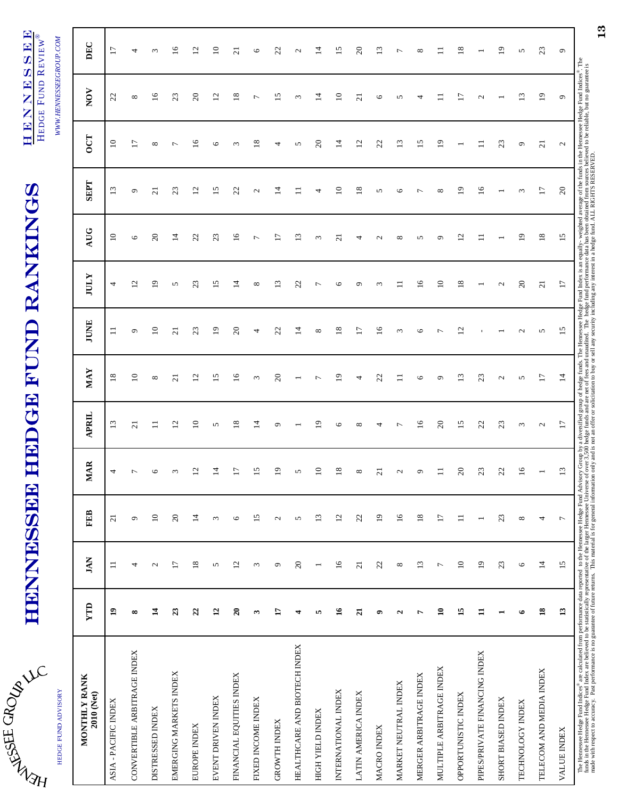| تم<br>HT<br>H |   |
|---------------|---|
|               | ۸ |

HEDGE FUND ADVISORY

HEDGE FUND ADVISORY

# HENNESSEE HEDGE FUND RANKINGS HENNESSEE HEDGE FUND RANKINGS

HENNESSEE HENNESSEE HEDGE FUND REVIEW® HEDGE FUND REVIEW®

WWW.HENNESSEEGROUP.COM *WWW.HENNESSEEGROUP.COM* 

| MONTHLY RANK<br>2010 (Net)                                                                                                                                                                                                     | <b>TTD</b>      | <b>JAN</b>      | <b>FEB</b>               | <b>IAR</b><br>⋍          | <b>APRIL</b>      | <b>MAY</b>        | <b>JUNE</b>               | <b>JULY</b>             | <b>AUG</b>               | <b>SEPT</b>     | OCT             | NOV               | DEC             |
|--------------------------------------------------------------------------------------------------------------------------------------------------------------------------------------------------------------------------------|-----------------|-----------------|--------------------------|--------------------------|-------------------|-------------------|---------------------------|-------------------------|--------------------------|-----------------|-----------------|-------------------|-----------------|
| - PACIFIC INDEX<br>ASIA                                                                                                                                                                                                        | $\mathbf{a}$    | $\Box$          | $\overline{21}$          | 4                        | 13                | 18                | $\equiv$                  | 4                       | $\Xi$                    | $\mathbf{r}$    | $\Xi$           | 22                | $\overline{17}$ |
| CONVERTIBLE ARBITRAGE INDEX                                                                                                                                                                                                    | œ               | 4               | $\sigma$                 | ↽                        | $\overline{c}$    | $\approx$         | ٥                         | $\overline{\mathbf{c}}$ | $\circ$                  | ٥               | $\overline{17}$ | ${}^{\circ}$      | 4               |
| DISTRESSED INDEX                                                                                                                                                                                                               | $\mathbf{1}$    | $\mathcal{L}$   | $\overline{10}$          | ७                        | $\Xi$             | ${}^{\circ}$      | $\Xi$                     | $\mathbf{r}$            | $\overline{\mathcal{E}}$ | ಸ               | ${}^{\circ}$    | $\frac{6}{1}$     | 3               |
| EMERGING MARKETS INDEX                                                                                                                                                                                                         | 23              | $\overline{17}$ | $20\,$                   | $\omega$                 | 12                | $\overline{c}$    | $\overline{c}$            | 5                       | $\vec{a}$                | 23              | $\overline{ }$  | 23                | $\tilde{=}$     |
| EUROPE INDEX                                                                                                                                                                                                                   | $\overline{c}$  | 18              | $\overline{1}$           | $\Xi$                    | $\Xi$             | $\overline{c}$    | $\mathfrak{L}$            | 23                      | 22                       | $\mathfrak{a}$  | ⊵               | $\overline{c}$    | $\Xi$           |
| EVENT DRIVEN INDEX                                                                                                                                                                                                             | $\overline{12}$ | 5               | $\epsilon$               | 4                        | 5                 | 15                | $\overline{19}$           | 15                      | 23                       | $\overline{15}$ | $\circ$         | 12                | $\Xi$           |
| FINANCIAL EQUITIES INDEX                                                                                                                                                                                                       | $\mathbf{z}$    | 12              | $\circ$                  | E                        | $\frac{8}{18}$    | $\overline{16}$   | $\Omega$                  | $\vec{4}$               | $\overline{16}$          | 22              | $\epsilon$      | $\frac{8}{18}$    | $\overline{z}$  |
| FIXED INCOME INDEX                                                                                                                                                                                                             | ω               | $\epsilon$      | 15                       | $\overline{15}$          | $\vec{a}$         | $\mathfrak{c}$    | 4                         | ${}^{\circ}$            | $\overline{ }$           | $\mathcal{L}$   | $\frac{8}{18}$  | $\overline{ }$    | $\circ$         |
| <b>GROWTH INDEX</b>                                                                                                                                                                                                            | H               | $\circ$         | $\mathcal{L}$            | $\overline{0}$           | ٥                 | $\overline{c}$    | 22                        | $\mathbf{r}$            | 17                       | $\vec{a}$       | 4               | 15                | S               |
| HEALTHCARE AND BIOTECH INDEX                                                                                                                                                                                                   | 4               | $20\,$          | $\mathbf{\hat{S}}$       | 5                        |                   |                   | $\vec{a}$                 | 22                      | $\frac{3}{2}$            | $\exists$       | 5               | $\epsilon$        | $\mathbf{c}$    |
| HIGH YIELD INDEX                                                                                                                                                                                                               | 5               | $\overline{ }$  | 13                       | $\Xi$                    | ₫                 | $\overline{ }$    | $^{\circ}$                | $\overline{ }$          | 3                        | 4               | $\Omega$        | 4                 | $\vec{a}$       |
| INTERNATIONAL INDEX                                                                                                                                                                                                            | $\tilde{16}$    | $\overline{16}$ | 12                       | $\overline{18}$          | O                 | $\overline{19}$   | $\overline{18}$           | $\circ$                 | $\alpha$                 | $\approx$       | $\vec{a}$       | $\Xi$             | 15              |
| LATIN AMERICA INDEX                                                                                                                                                                                                            | $\overline{z}$  | $\overline{c}$  | 22                       | ${}^{\circ}$             | $\infty$          | 4                 | $\overline{1}$            | $\circ$                 | 4                        | $\frac{8}{2}$   | 12              | $\overline{c}$    | $\Omega$        |
| MACRO INDEX                                                                                                                                                                                                                    | ۰               | 22              | $\overline{1}$           | ಸ                        | 4                 | 22                | $\widetilde{\phantom{a}}$ | $\epsilon$              | $\mathbf 2$              | 5               | 22              | $\circ$           | $\mathbf{r}$    |
| MARKET NEUTRAL INDEX                                                                                                                                                                                                           | $\mathbf{a}$    | $\infty$        | $16$                     | $\mathcal{L}$            | ∼                 | $\Box$            | $\epsilon$                | $\Box$                  | ${}^{\circ}$             | $\circ$         | 13              | n                 | Γ               |
| MERGER ARBITRAGE INDEX                                                                                                                                                                                                         | Ļ               | 13              | $18\,$                   | $\circ$                  | $\overline{16}$   | 6                 | O                         | $\overline{16}$         | 5                        | $\overline{ }$  | 15              | 4                 | $^{\circ}$      |
| MULTIPLE ARBITRAGE INDEX                                                                                                                                                                                                       | $\mathbf{a}$    | $\overline{ }$  | $\overline{17}$          | $\equiv$                 | $\overline{c}$    | $\sigma$          | $\overline{ }$            | $\overline{10}$         | $\circ$                  | ${}^{\circ}$    | $\overline{19}$ |                   | $\Xi$           |
| OPPORTUNISTIC INDEX                                                                                                                                                                                                            | $\overline{15}$ | $\overline{10}$ | $\Box$                   | $\Omega$                 | 15                | 13                | $\overline{c}$            | $\overline{18}$         | $\overline{c}$           | $\mathbf{D}$    |                 | 17                | $\frac{8}{18}$  |
| PIPES/PRIVATE FINANCING INDEX                                                                                                                                                                                                  | $\mathbf{I}$    | $\overline{19}$ | $\overline{\phantom{0}}$ | 23                       | 22                | 23                |                           |                         |                          | $\overline{16}$ |                 | $\mathbf{\Omega}$ |                 |
| SHORT BIASED INDEX                                                                                                                                                                                                             |                 | 23              | 23                       | 22                       | 23                | $\mathbf{\Omega}$ |                           | $\mathbf{\Omega}$       |                          |                 | 23              |                   | $\overline{9}$  |
| TECHNOLOGY INDEX                                                                                                                                                                                                               | ی               | $\circ$         | $\infty$                 | $\approx$                | $\epsilon$        | 5                 | $\mathbf{c}$              | $\Omega$                | $\overline{0}$           | 3               | ٥               | 13                | 5               |
| TELECOM AND MEDIA INDEX                                                                                                                                                                                                        | $\overline{18}$ | $\overline{1}$  | 4                        | $\overline{\phantom{0}}$ | $\mathbf{\Omega}$ | 17                | 5                         | $\overline{21}$         | 18                       | $\overline{17}$ | $\overline{a}$  | $\overline{19}$   | 23              |
| VALUE INDEX                                                                                                                                                                                                                    | 13              | 15              | $\overline{ }$           | $\overline{13}$          | $\overline{17}$   | $\vec{a}$         | $\overline{15}$           | $\overline{17}$         | 5                        | $\Omega$        | $\mathcal{L}$   | $\sigma$          | $\circ$         |
| The Hennessee Hedge Fund Indices® are calculated from performance data reported to the Hennessee Hedge funds. The Hennessee Hedge Fund Index is an equally-weighted average of the funds in the Hennessee Hedge Fund Indices®. |                 |                 |                          |                          |                   |                   |                           |                         |                          |                 |                 |                   |                 |

made with respect to accuracy. Past performance is no guarantee of future returns. This material is for general information only and is not an offer or solicitation to buy or sell any security including any interest in a h

13